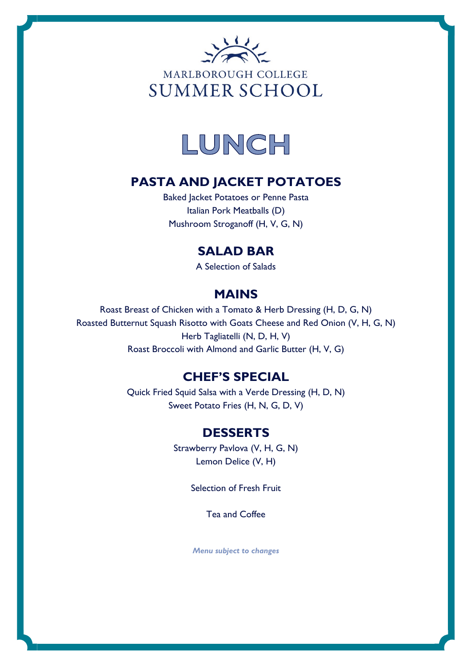



# **PASTA AND JACKET POTATOES**

Baked Jacket Potatoes or Penne Pasta Italian Pork Meatballs (D) Mushroom Stroganoff (H, V, G, N)

## **SALAD BAR**

A Selection of Salads

# **MAINS**

Roast Breast of Chicken with a Tomato & Herb Dressing (H, D, G, N) Roasted Butternut Squash Risotto with Goats Cheese and Red Onion (V, H, G, N) Herb Tagliatelli (N, D, H, V) Roast Broccoli with Almond and Garlic Butter (H, V, G)

## **CHEF'S SPECIAL**

Quick Fried Squid Salsa with a Verde Dressing (H, D, N) Sweet Potato Fries (H, N, G, D, V)

## **DESSERTS**

Strawberry Pavlova (V, H, G, N) Lemon Delice (V, H)

Selection of Fresh Fruit

Tea and Coffee

*Menu subject to changes*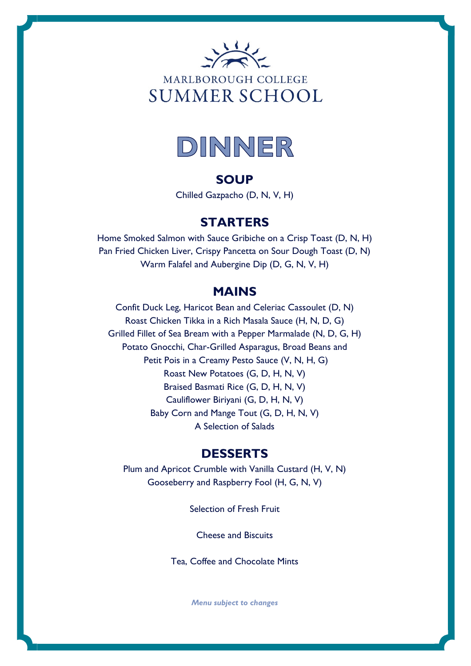



#### **SOUP**

Chilled Gazpacho (D, N, V, H)

### **STARTERS**

Home Smoked Salmon with Sauce Gribiche on a Crisp Toast (D, N, H) Pan Fried Chicken Liver, Crispy Pancetta on Sour Dough Toast (D, N) Warm Falafel and Aubergine Dip (D, G, N, V, H)

## **MAINS**

Confit Duck Leg, Haricot Bean and Celeriac Cassoulet (D, N) Roast Chicken Tikka in a Rich Masala Sauce (H, N, D, G) Grilled Fillet of Sea Bream with a Pepper Marmalade (N, D, G, H) Potato Gnocchi, Char-Grilled Asparagus, Broad Beans and Petit Pois in a Creamy Pesto Sauce (V, N, H, G) Roast New Potatoes (G, D, H, N, V) Braised Basmati Rice (G, D, H, N, V) Cauliflower Biriyani (G, D, H, N, V) Baby Corn and Mange Tout (G, D, H, N, V) A Selection of Salads

### **DESSERTS**

Plum and Apricot Crumble with Vanilla Custard (H, V, N) Gooseberry and Raspberry Fool (H, G, N, V)

Selection of Fresh Fruit

Cheese and Biscuits

Tea, Coffee and Chocolate Mints

*Menu subject to changes*